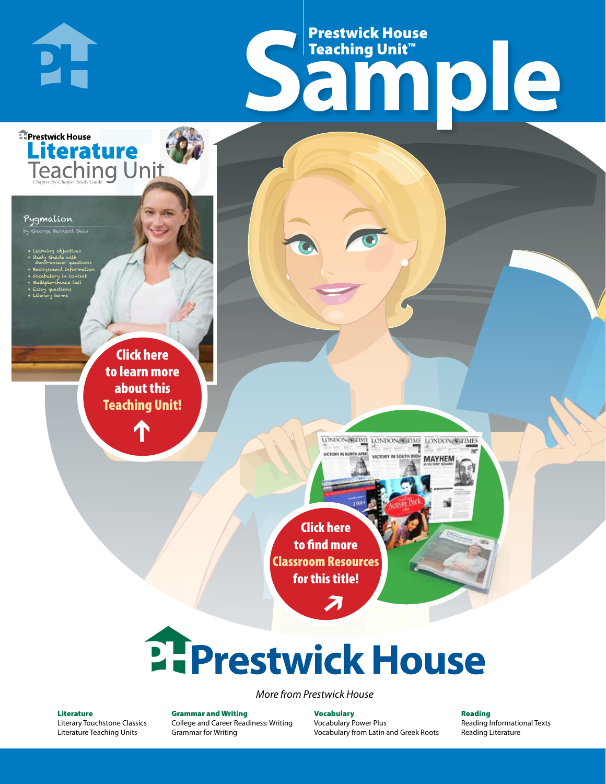# Frestwick House<br>
Sample **Prestwick House**<br>Teaching Unit<sup>\*\*</sup> Teaching Unit™

LONDON-SCITME LONDON/SCITME LONDON/SCITMES

**MAYHEM** 

**Literature** 

Pygmalion

by George Bernard Shaw

**E** Prestwick House

PI-

• Learning objectives • Study Guide with short-answer questions • Background information

• Vocabulary in context • Multiple-choice test

CHARLES DICKENS

**A Tale of Two Cities**

• Essay questions • Literary terms

> r e o r d e r n o . x x x x x x Click here to learn more about this [Teaching Unit!](https://www.prestwickhouse.com/pdf/id-201353/Pygmalion_-_Downloadable_Teaching_Unit)

> > $\mathbf{T}$

1

Click here to find more [Classroom Resources](http://teaching-english.prestwickhouse.com/search#w=pygmalion)  for this title!

 $\overline{\boldsymbol{\lambda}}$ 

# 2. Prestwick House

*More from Prestwick House*

#### Literature

[Literary Touchstone Classics](https://www.prestwickhouse.com/literary-touchstone-classics) [Literature Teaching Units](https://www.prestwickhouse.com/teaching-units)

Grammar and Writing [College and Career Readiness: Writing](https://www.prestwickhouse.com/college-and-career-readiness-writing) [Grammar for Writing](https://www.prestwickhouse.com/book/id-302639/Grammar_for_Writing_-_30_Books_and_Teachers_Edition)

Vocabulary [Vocabulary Power Plus](https://www.prestwickhouse.com/vocabulary-power-plus-for-college-and-career-readiness) [Vocabulary from Latin and Greek Roots](https://www.prestwickhouse.com/vocabulary-from-latin-and-greek-roots) Reading

[Reading Informational Texts](https://www.prestwickhouse.com/reading-informational-texts) [Reading Literature](https://www.prestwickhouse.com/reading-literature)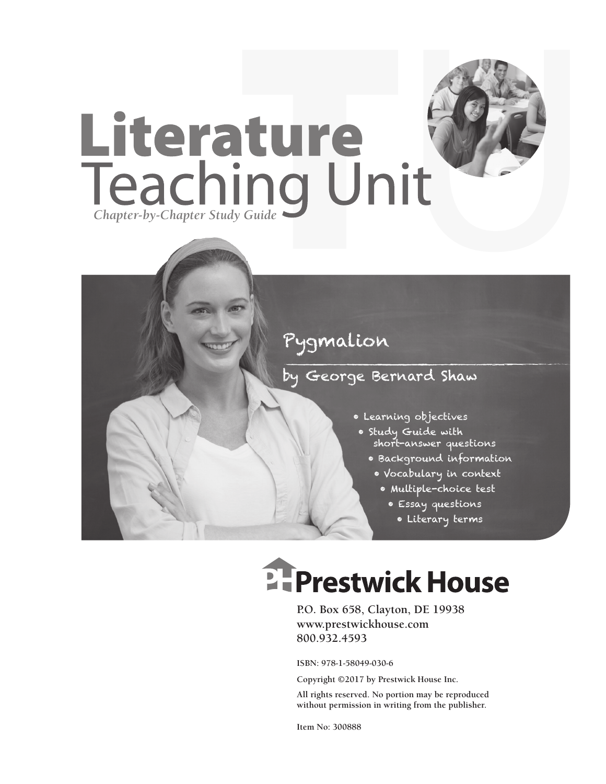

## Pygmalion

### by George Bernard Shaw

- Learning objectives
- Study Guide with short-answer questions
	- Background information
	- Vocabulary in context
		- Multiple-choice test
			- Essay questions
			- Literary terms

# **EFPrestwick House**

**P.O. Box 658, Clayton, DE 19938 www.prestwickhouse.com 800.932.4593**

**ISBN: 978-1-58049-030-6**

**Copyright ©2017 by Prestwick House Inc.**

**All rights reserved. No portion may be reproduced without permission in writing from the publisher.** 

**Item No: 300888**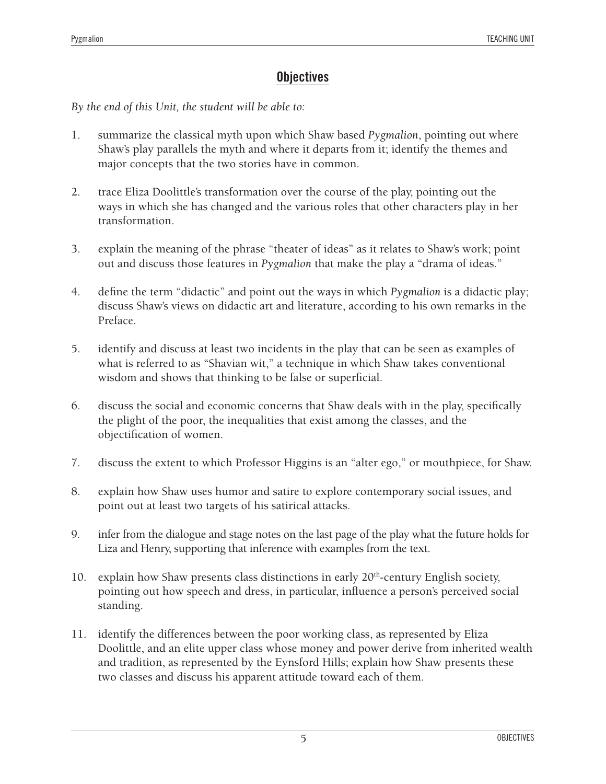#### **Objectives**

*By the end of this Unit, the student will be able to:*

- 1. summarize the classical myth upon which Shaw based *Pygmalion*, pointing out where Shaw's play parallels the myth and where it departs from it; identify the themes and major concepts that the two stories have in common.
- 2. trace Eliza Doolittle's transformation over the course of the play, pointing out the ways in which she has changed and the various roles that other characters play in her transformation.
- 3. explain the meaning of the phrase "theater of ideas" as it relates to Shaw's work; point out and discuss those features in *Pygmalion* that make the play a "drama of ideas."
- 4. define the term "didactic" and point out the ways in which *Pygmalion* is a didactic play; discuss Shaw's views on didactic art and literature, according to his own remarks in the Preface.
- 5. identify and discuss at least two incidents in the play that can be seen as examples of what is referred to as "Shavian wit," a technique in which Shaw takes conventional wisdom and shows that thinking to be false or superficial.
- 6. discuss the social and economic concerns that Shaw deals with in the play, specifically the plight of the poor, the inequalities that exist among the classes, and the objectification of women.
- 7. discuss the extent to which Professor Higgins is an "alter ego," or mouthpiece, for Shaw.
- 8. explain how Shaw uses humor and satire to explore contemporary social issues, and point out at least two targets of his satirical attacks.
- 9. infer from the dialogue and stage notes on the last page of the play what the future holds for Liza and Henry, supporting that inference with examples from the text.
- 10. explain how Shaw presents class distinctions in early  $20<sup>th</sup>$ -century English society, pointing out how speech and dress, in particular, influence a person's perceived social standing.
- 11. identify the differences between the poor working class, as represented by Eliza Doolittle, and an elite upper class whose money and power derive from inherited wealth and tradition, as represented by the Eynsford Hills; explain how Shaw presents these two classes and discuss his apparent attitude toward each of them.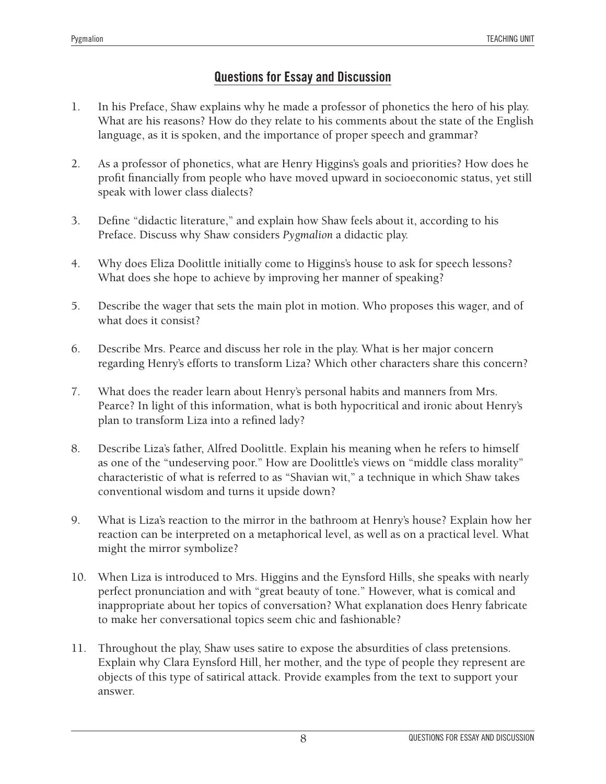#### **Questions for Essay and Discussion**

- 1. In his Preface, Shaw explains why he made a professor of phonetics the hero of his play. What are his reasons? How do they relate to his comments about the state of the English language, as it is spoken, and the importance of proper speech and grammar?
- 2. As a professor of phonetics, what are Henry Higgins's goals and priorities? How does he profit financially from people who have moved upward in socioeconomic status, yet still speak with lower class dialects?
- 3. Define "didactic literature," and explain how Shaw feels about it, according to his Preface. Discuss why Shaw considers *Pygmalion* a didactic play.
- 4. Why does Eliza Doolittle initially come to Higgins's house to ask for speech lessons? What does she hope to achieve by improving her manner of speaking?
- 5. Describe the wager that sets the main plot in motion. Who proposes this wager, and of what does it consist?
- 6. Describe Mrs. Pearce and discuss her role in the play. What is her major concern regarding Henry's efforts to transform Liza? Which other characters share this concern?
- 7. What does the reader learn about Henry's personal habits and manners from Mrs. Pearce? In light of this information, what is both hypocritical and ironic about Henry's plan to transform Liza into a refined lady?
- 8. Describe Liza's father, Alfred Doolittle. Explain his meaning when he refers to himself as one of the "undeserving poor." How are Doolittle's views on "middle class morality" characteristic of what is referred to as "Shavian wit," a technique in which Shaw takes conventional wisdom and turns it upside down?
- 9. What is Liza's reaction to the mirror in the bathroom at Henry's house? Explain how her reaction can be interpreted on a metaphorical level, as well as on a practical level. What might the mirror symbolize?
- 10. When Liza is introduced to Mrs. Higgins and the Eynsford Hills, she speaks with nearly perfect pronunciation and with "great beauty of tone." However, what is comical and inappropriate about her topics of conversation? What explanation does Henry fabricate to make her conversational topics seem chic and fashionable?
- 11. Throughout the play, Shaw uses satire to expose the absurdities of class pretensions. Explain why Clara Eynsford Hill, her mother, and the type of people they represent are objects of this type of satirical attack. Provide examples from the text to support your answer.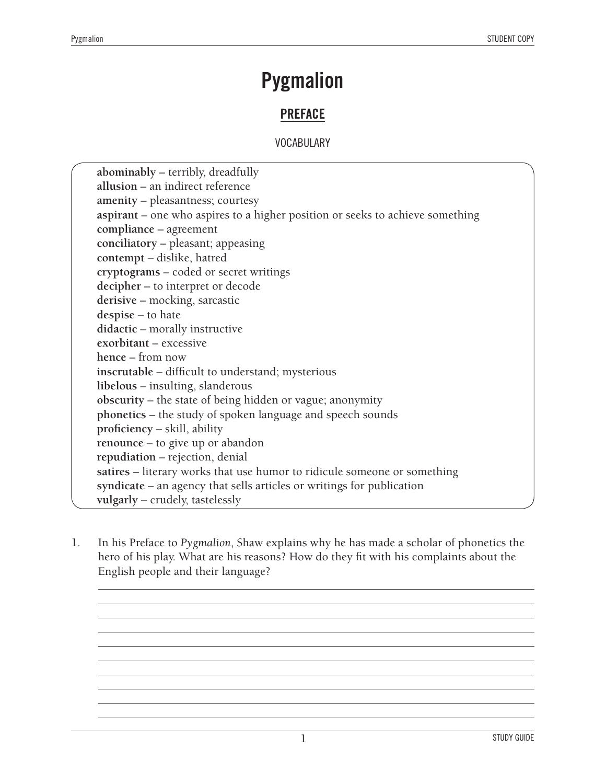## **Pygmalion**

#### **PREFACE**

#### VOCABULARY

**abominably** – terribly, dreadfully **allusion** – an indirect reference **amenity** – pleasantness; courtesy **aspirant** – one who aspires to a higher position or seeks to achieve something **compliance** – agreement **conciliatory** – pleasant; appeasing **contempt** – dislike, hatred **cryptograms** – coded or secret writings **decipher** – to interpret or decode **derisive** – mocking, sarcastic **despise** – to hate **didactic** – morally instructive **exorbitant** – excessive **hence** – from now **inscrutable** – difficult to understand; mysterious **libelous** – insulting, slanderous **obscurity** – the state of being hidden or vague; anonymity **phonetics** – the study of spoken language and speech sounds **proficiency** – skill, ability **renounce** – to give up or abandon **repudiation** – rejection, denial **satires** – literary works that use humor to ridicule someone or something **syndicate** – an agency that sells articles or writings for publication **vulgarly** – crudely, tastelessly

1. In his Preface to *Pygmalion*, Shaw explains why he has made a scholar of phonetics the hero of his play. What are his reasons? How do they fit with his complaints about the English people and their language?

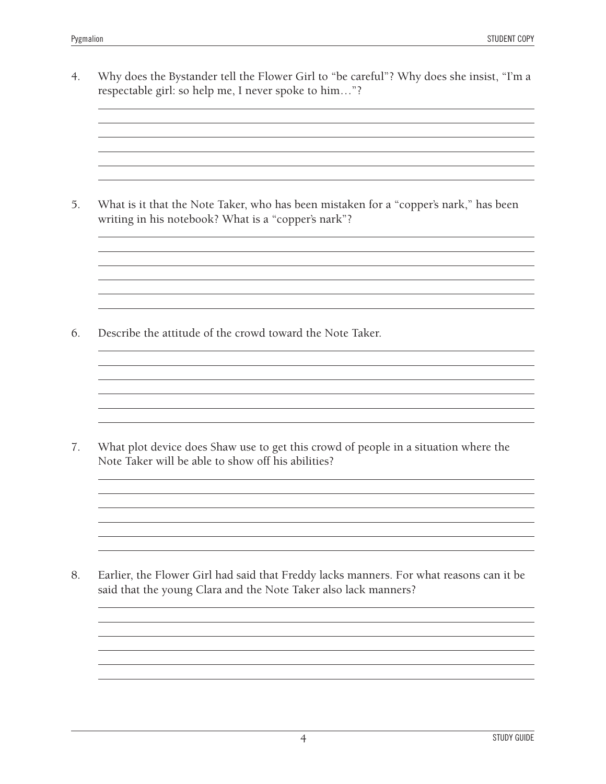4. Why does the Bystander tell the Flower Girl to "be careful"? Why does she insist, "I'm a respectable girl: so help me, I never spoke to him…"?

<u> 1980 - Johann Stoff, amerikansk politiker (d. 1980)</u>

and the control of the control of the control of the control of the control of the control of the control of the

and the control of the control of the control of the control of the control of the control of the control of the and the control of the control of the control of the control of the control of the control of the control of the 

<u> 1989 - Johann Stoff, deutscher Stoff, der Stoff, der Stoff, der Stoff, der Stoff, der Stoff, der Stoff, der S</u>

the control of the control of the control of the control of the control of the control of the control of the control of the control of the control of the control of the control of the control of the control of the control

5. What is it that the Note Taker, who has been mistaken for a "copper's nark," has been writing in his notebook? What is a "copper's nark"?

<u> 1989 - Johann Barn, mars ann an t-Amhain Aonaich an t-Aonaich an t-Aonaich ann an t-Aonaich ann an t-Aonaich</u>

6. Describe the attitude of the crowd toward the Note Taker.

7. What plot device does Shaw use to get this crowd of people in a situation where the Note Taker will be able to show off his abilities?

8. Earlier, the Flower Girl had said that Freddy lacks manners. For what reasons can it be said that the young Clara and the Note Taker also lack manners?